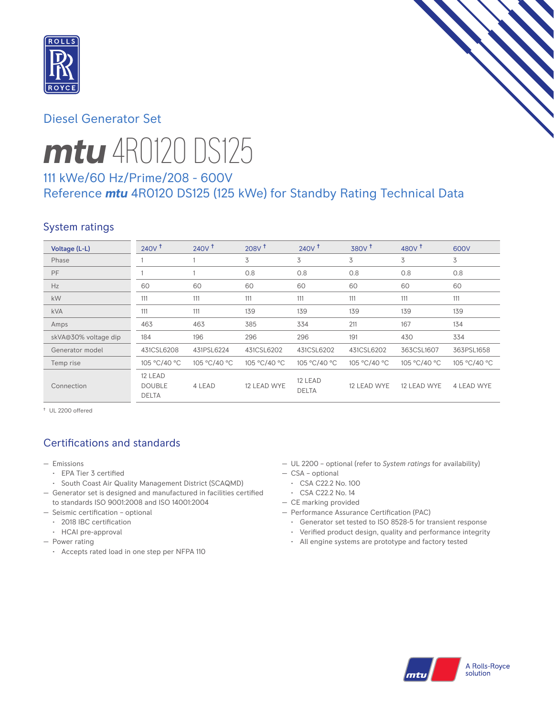

# Diesel Generator Set

# *mtu* 4R0120 DS125

# 111 kWe/60 Hz/Prime/208 - 600V Reference *mtu* 4R0120 DS125 (125 kWe) for Standby Rating Technical Data

# System ratings

| Voltage (L-L)        | $240V$ <sup>t</sup>                      | 240V <sup>†</sup> | $208V$ <sup>+</sup> | 240V <sup>†</sup>       | 380V <sup>+</sup> | 480 $V†$     | 600V         |
|----------------------|------------------------------------------|-------------------|---------------------|-------------------------|-------------------|--------------|--------------|
| Phase                |                                          |                   | 3                   | 3                       | 3                 | 3            | 3            |
| PF                   |                                          |                   | 0.8                 | 0.8                     | 0.8               | 0.8          | 0.8          |
| Hz                   | 60                                       | 60                | 60                  | 60                      | 60                | 60           | 60           |
| kW                   | 111                                      | 111               | 111                 | 111                     | 111               | 111          | 111          |
| <b>kVA</b>           | 111                                      | 111               | 139                 | 139                     | 139               | 139          | 139          |
| Amps                 | 463                                      | 463               | 385                 | 334                     | 211               | 167          | 134          |
| skVA@30% voltage dip | 184                                      | 196               | 296                 | 296                     | 191               | 430          | 334          |
| Generator model      | 431CSL6208                               | 431PSL6224        | 431CSL6202          | 431CSL6202              | 431CSL6202        | 363CSL1607   | 363PSL1658   |
| Temp rise            | 105 °C/40 °C                             | 105 °C/40 °C      | 105 °C/40 °C        | 105 °C/40 °C            | 105 °C/40 °C      | 105 °C/40 °C | 105 °C/40 °C |
| Connection           | 12 LEAD<br><b>DOUBLE</b><br><b>DELTA</b> | 4 LEAD            | 12 LEAD WYE         | 12 LEAD<br><b>DELTA</b> | 12 LEAD WYE       | 12 LEAD WYE  | 4 LEAD WYE   |

† UL 2200 offered

# Certifications and standards

- Emissions
	- EPA Tier 3 certified
	- South Coast Air Quality Management District (SCAQMD)
- Generator set is designed and manufactured in facilities certified to standards ISO 9001:2008 and ISO 14001:2004
- Seismic certification optional
	- 2018 IBC certification
	- HCAI pre-approval
- Power rating
	- Accepts rated load in one step per NFPA 110
- UL 2200 optional (refer to *System ratings* for availability)
- CSA optional
- CSA C22.2 No. 100
- CSA C22.2 No. 14
- CE marking provided
- Performance Assurance Certification (PAC)
	- Generator set tested to ISO 8528-5 for transient response
	- Verified product design, quality and performance integrity
	- All engine systems are prototype and factory tested

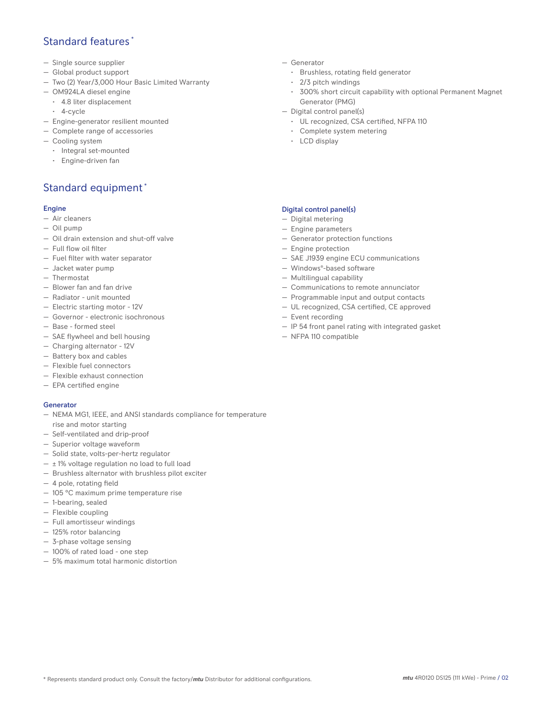# Standard features \*

- Single source supplier
- Global product support
- Two (2) Year/3,000 Hour Basic Limited Warranty
- OM924LA diesel engine
	- 4.8 liter displacement
	- 4-cycle
- Engine-generator resilient mounted
- Complete range of accessories
- Cooling system
	- Integral set-mounted
	- Engine-driven fan

# Standard equipment \*

#### Engine

- Air cleaners
- Oil pump
- Oil drain extension and shut-off valve
- Full flow oil filter
- Fuel filter with water separator
- Jacket water pump
- Thermostat
- Blower fan and fan drive
- Radiator unit mounted
- Electric starting motor 12V
- Governor electronic isochronous
- Base formed steel
- SAE flywheel and bell housing
- Charging alternator 12V
- Battery box and cables
- Flexible fuel connectors
- Flexible exhaust connection
- EPA certified engine

## Generator

- NEMA MG1, IEEE, and ANSI standards compliance for temperature rise and motor starting
- Self-ventilated and drip-proof
- Superior voltage waveform
- Solid state, volts-per-hertz regulator
- $\pm$  1% voltage regulation no load to full load
- Brushless alternator with brushless pilot exciter
- 4 pole, rotating field
- 105 °C maximum prime temperature rise
- 1-bearing, sealed
- Flexible coupling
- Full amortisseur windings
- 125% rotor balancing
- 3-phase voltage sensing
- 100% of rated load one step
- 5% maximum total harmonic distortion
- Generator
	- Brushless, rotating field generator
	- 2/3 pitch windings
	- 300% short circuit capability with optional Permanent Magnet Generator (PMG)
- Digital control panel(s)
	- UL recognized, CSA certified, NFPA 110
	- Complete system metering
	- LCD display

## Digital control panel(s)

- Digital metering
- Engine parameters
- Generator protection functions
- Engine protection
- SAE J1939 engine ECU communications
- Windows®-based software
- Multilingual capability
- Communications to remote annunciator
- Programmable input and output contacts
- UL recognized, CSA certified, CE approved
- Event recording
- IP 54 front panel rating with integrated gasket
- NFPA 110 compatible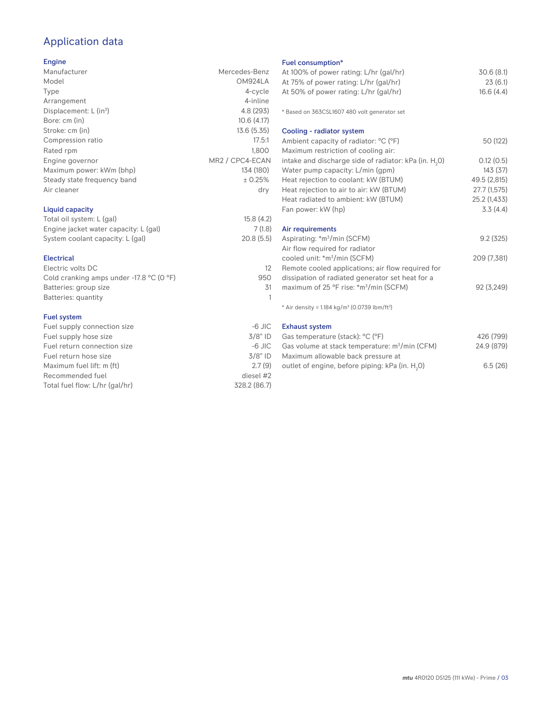# Application data

## Engine

| Manufacturer                       | Mercedes-Benz                            |
|------------------------------------|------------------------------------------|
| Model                              | OM924LA                                  |
| Type                               | 4-cycle                                  |
| Arrangement                        | 4-inline                                 |
| Displacement: L (in <sup>3</sup> ) | 4.8 (293)                                |
| Bore: cm (in)                      | 10.6(4.17)                               |
| Stroke: cm (in)                    | 13.6 (5.35)                              |
| Compression ratio                  | 17.5:1                                   |
| Rated rpm                          | 1.800                                    |
| Engine governor                    | MR <sub>2</sub> / CPC <sub>4</sub> -ECAN |
| Maximum power: kWm (bhp)           | 134 (180)                                |
| Steady state frequency band        | ± 0.25%                                  |
| Air cleaner                        | dry                                      |
| <b>Liquid capacity</b>             |                                          |
| Total oil custom: L(anl)           | 150(17)                                  |

| Total oil system: L (gal)             | 15.8(4.2) |
|---------------------------------------|-----------|
| Engine jacket water capacity: L (gal) | 7(1.8)    |
| System coolant capacity: L (gal)      | 20.8(5.5) |

### Electrical

| Electric volts DC                                            |     |
|--------------------------------------------------------------|-----|
| Cold cranking amps under -17.8 $^{\circ}$ C (O $^{\circ}$ F) | 950 |
| Batteries: group size                                        | .31 |
| Batteries: quantity                                          |     |
|                                                              |     |

## Fuel system

| Fuel supply connection size    | $-6$ JIC     |
|--------------------------------|--------------|
| Fuel supply hose size          | $3/8"$ ID    |
| Fuel return connection size    | $-6$ JIC     |
| Fuel return hose size          | $3/8"$ ID    |
| Maximum fuel lift: m (ft)      | 2.7(9)       |
| Recommended fuel               | diesel #2    |
| Total fuel flow: L/hr (gal/hr) | 328.2 (86.7) |

## Fuel consumption\*

| Fuel consumption <sup>®</sup><br>At 100% of power rating: L/hr (gal/hr)<br>At 75% of power rating: L/hr (gal/hr)<br>At 50% of power rating: L/hr (gal/hr) | 30.6(8.1)<br>23(6.1)<br>16.6(4.4) |
|-----------------------------------------------------------------------------------------------------------------------------------------------------------|-----------------------------------|
| * Based on 363CSL1607 480 volt generator set                                                                                                              |                                   |
| Cooling - radiator system                                                                                                                                 |                                   |
| Ambient capacity of radiator: °C (°F)<br>Maximum restriction of cooling air:                                                                              | 50 (122)                          |
| intake and discharge side of radiator: kPa (in. H <sub>2</sub> 0)                                                                                         | 0.12(0.5)                         |
| Water pump capacity: L/min (gpm)                                                                                                                          | 143(37)                           |
| Heat rejection to coolant: kW (BTUM)                                                                                                                      | 49.5 (2,815)                      |
| Heat rejection to air to air: kW (BTUM)                                                                                                                   | 27.7 (1,575)                      |
| Heat radiated to ambient: kW (BTUM)                                                                                                                       | 25.2 (1,433)                      |
| Fan power: kW (hp)                                                                                                                                        | 3.3(4.4)                          |
| Air requirements                                                                                                                                          |                                   |
| Aspirating: *m <sup>3</sup> /min (SCFM)                                                                                                                   | 9.2(325)                          |
| Air flow required for radiator<br>cooled unit: *m <sup>3</sup> /min (SCFM)                                                                                | 209 (7,381)                       |
| Remote cooled applications; air flow required for<br>dissipation of radiated generator set heat for a                                                     |                                   |
| maximum of 25 °F rise: *m <sup>3</sup> /min (SCFM)                                                                                                        | 92 (3,249)                        |
| * Air density = $1.184$ kg/m <sup>3</sup> (0.0739 lbm/ft <sup>3</sup> )                                                                                   |                                   |
| <b>Exhaust system</b>                                                                                                                                     |                                   |
| Gas temperature (stack): °C (°F)                                                                                                                          | 426 (799)                         |

| Gas temperature (stack): °C (°F)                            | 426 (799)  |
|-------------------------------------------------------------|------------|
| Gas volume at stack temperature: $m^3/m$ in (CFM)           | 24.9 (879) |
| Maximum allowable back pressure at                          |            |
| outlet of engine, before piping: kPa (in. H <sub>2</sub> O) | 6.5(26)    |
|                                                             |            |